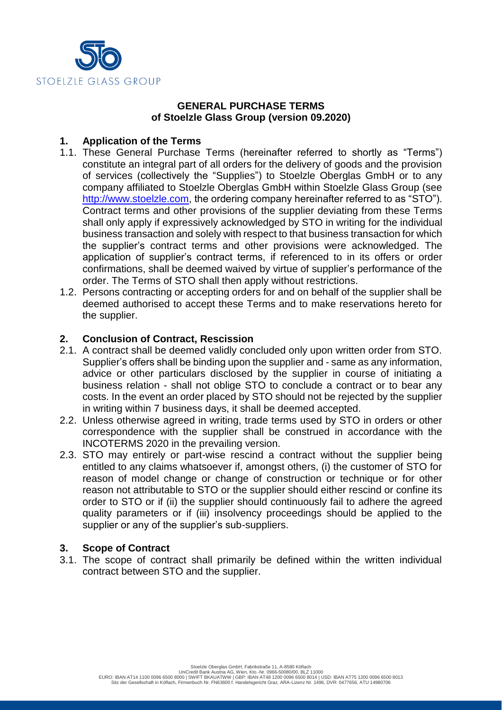

## **GENERAL PURCHASE TERMS of Stoelzle Glass Group (version 09.2020)**

## **1. Application of the Terms**

- 1.1. These General Purchase Terms (hereinafter referred to shortly as "Terms") constitute an integral part of all orders for the delivery of goods and the provision of services (collectively the "Supplies") to Stoelzle Oberglas GmbH or to any company affiliated to Stoelzle Oberglas GmbH within Stoelzle Glass Group (see [http://www.stoelzle.com,](http://www.stoelzle.com/) the ordering company hereinafter referred to as "STO"). Contract terms and other provisions of the supplier deviating from these Terms shall only apply if expressively acknowledged by STO in writing for the individual business transaction and solely with respect to that business transaction for which the supplier's contract terms and other provisions were acknowledged. The application of supplier's contract terms, if referenced to in its offers or order confirmations, shall be deemed waived by virtue of supplier's performance of the order. The Terms of STO shall then apply without restrictions.
- 1.2. Persons contracting or accepting orders for and on behalf of the supplier shall be deemed authorised to accept these Terms and to make reservations hereto for the supplier.

#### **2. Conclusion of Contract, Rescission**

- 2.1. A contract shall be deemed validly concluded only upon written order from STO. Supplier's offers shall be binding upon the supplier and - same as any information, advice or other particulars disclosed by the supplier in course of initiating a business relation - shall not oblige STO to conclude a contract or to bear any costs. In the event an order placed by STO should not be rejected by the supplier in writing within 7 business days, it shall be deemed accepted.
- 2.2. Unless otherwise agreed in writing, trade terms used by STO in orders or other correspondence with the supplier shall be construed in accordance with the INCOTERMS 2020 in the prevailing version.
- 2.3. STO may entirely or part-wise rescind a contract without the supplier being entitled to any claims whatsoever if, amongst others, (i) the customer of STO for reason of model change or change of construction or technique or for other reason not attributable to STO or the supplier should either rescind or confine its order to STO or if (ii) the supplier should continuously fail to adhere the agreed quality parameters or if (iii) insolvency proceedings should be applied to the supplier or any of the supplier's sub-suppliers.

#### **3. Scope of Contract**

3.1. The scope of contract shall primarily be defined within the written individual contract between STO and the supplier.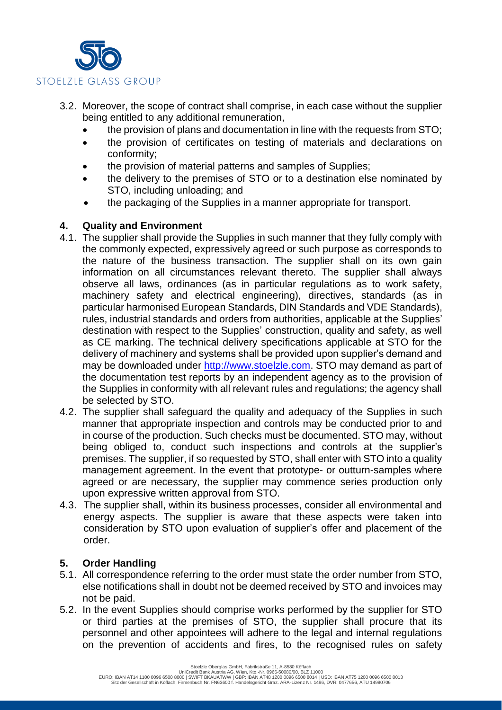

- 3.2. Moreover, the scope of contract shall comprise, in each case without the supplier being entitled to any additional remuneration,
	- the provision of plans and documentation in line with the requests from STO;
	- the provision of certificates on testing of materials and declarations on conformity;
	- the provision of material patterns and samples of Supplies;
	- the delivery to the premises of STO or to a destination else nominated by STO, including unloading; and
	- the packaging of the Supplies in a manner appropriate for transport.

## **4. Quality and Environment**

- 4.1. The supplier shall provide the Supplies in such manner that they fully comply with the commonly expected, expressively agreed or such purpose as corresponds to the nature of the business transaction. The supplier shall on its own gain information on all circumstances relevant thereto. The supplier shall always observe all laws, ordinances (as in particular regulations as to work safety, machinery safety and electrical engineering), directives, standards (as in particular harmonised European Standards, DIN Standards and VDE Standards), rules, industrial standards and orders from authorities, applicable at the Supplies' destination with respect to the Supplies' construction, quality and safety, as well as CE marking. The technical delivery specifications applicable at STO for the delivery of machinery and systems shall be provided upon supplier's demand and may be downloaded under [http://www.stoelzle.com.](http://www.stoelzle.com/) STO may demand as part of the documentation test reports by an independent agency as to the provision of the Supplies in conformity with all relevant rules and regulations; the agency shall be selected by STO.
- 4.2. The supplier shall safeguard the quality and adequacy of the Supplies in such manner that appropriate inspection and controls may be conducted prior to and in course of the production. Such checks must be documented. STO may, without being obliged to, conduct such inspections and controls at the supplier's premises. The supplier, if so requested by STO, shall enter with STO into a quality management agreement. In the event that prototype- or outturn-samples where agreed or are necessary, the supplier may commence series production only upon expressive written approval from STO.
- 4.3. The supplier shall, within its business processes, consider all environmental and energy aspects. The supplier is aware that these aspects were taken into consideration by STO upon evaluation of supplier's offer and placement of the order.

# **5. Order Handling**

- 5.1. All correspondence referring to the order must state the order number from STO, else notifications shall in doubt not be deemed received by STO and invoices may not be paid.
- 5.2. In the event Supplies should comprise works performed by the supplier for STO or third parties at the premises of STO, the supplier shall procure that its personnel and other appointees will adhere to the legal and internal regulations on the prevention of accidents and fires, to the recognised rules on safety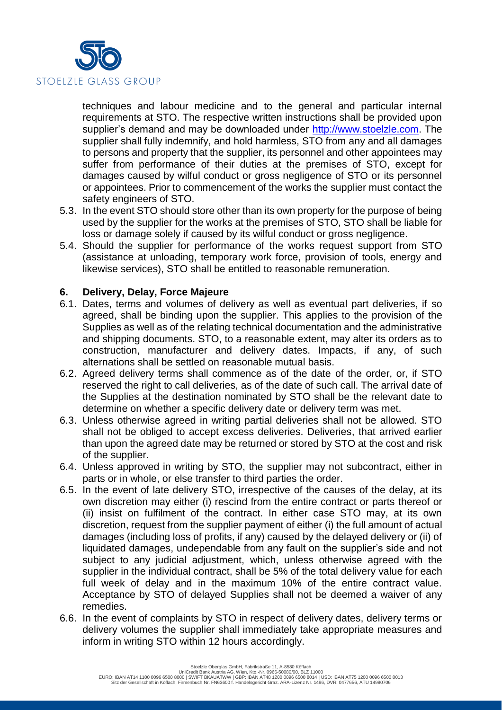

techniques and labour medicine and to the general and particular internal requirements at STO. The respective written instructions shall be provided upon supplier's demand and may be downloaded under [http://www.stoelzle.com.](http://www.stoelzle.com/) The supplier shall fully indemnify, and hold harmless, STO from any and all damages to persons and property that the supplier, its personnel and other appointees may suffer from performance of their duties at the premises of STO, except for damages caused by wilful conduct or gross negligence of STO or its personnel or appointees. Prior to commencement of the works the supplier must contact the safety engineers of STO.

- 5.3. In the event STO should store other than its own property for the purpose of being used by the supplier for the works at the premises of STO, STO shall be liable for loss or damage solely if caused by its wilful conduct or gross negligence.
- 5.4. Should the supplier for performance of the works request support from STO (assistance at unloading, temporary work force, provision of tools, energy and likewise services), STO shall be entitled to reasonable remuneration.

## **6. Delivery, Delay, Force Majeure**

- 6.1. Dates, terms and volumes of delivery as well as eventual part deliveries, if so agreed, shall be binding upon the supplier. This applies to the provision of the Supplies as well as of the relating technical documentation and the administrative and shipping documents. STO, to a reasonable extent, may alter its orders as to construction, manufacturer and delivery dates. Impacts, if any, of such alternations shall be settled on reasonable mutual basis.
- 6.2. Agreed delivery terms shall commence as of the date of the order, or, if STO reserved the right to call deliveries, as of the date of such call. The arrival date of the Supplies at the destination nominated by STO shall be the relevant date to determine on whether a specific delivery date or delivery term was met.
- 6.3. Unless otherwise agreed in writing partial deliveries shall not be allowed. STO shall not be obliged to accept excess deliveries. Deliveries, that arrived earlier than upon the agreed date may be returned or stored by STO at the cost and risk of the supplier.
- 6.4. Unless approved in writing by STO, the supplier may not subcontract, either in parts or in whole, or else transfer to third parties the order.
- 6.5. In the event of late delivery STO, irrespective of the causes of the delay, at its own discretion may either (i) rescind from the entire contract or parts thereof or (ii) insist on fulfilment of the contract. In either case STO may, at its own discretion, request from the supplier payment of either (i) the full amount of actual damages (including loss of profits, if any) caused by the delayed delivery or (ii) of liquidated damages, undependable from any fault on the supplier's side and not subject to any judicial adjustment, which, unless otherwise agreed with the supplier in the individual contract, shall be 5% of the total delivery value for each full week of delay and in the maximum 10% of the entire contract value. Acceptance by STO of delayed Supplies shall not be deemed a waiver of any remedies.
- 6.6. In the event of complaints by STO in respect of delivery dates, delivery terms or delivery volumes the supplier shall immediately take appropriate measures and inform in writing STO within 12 hours accordingly.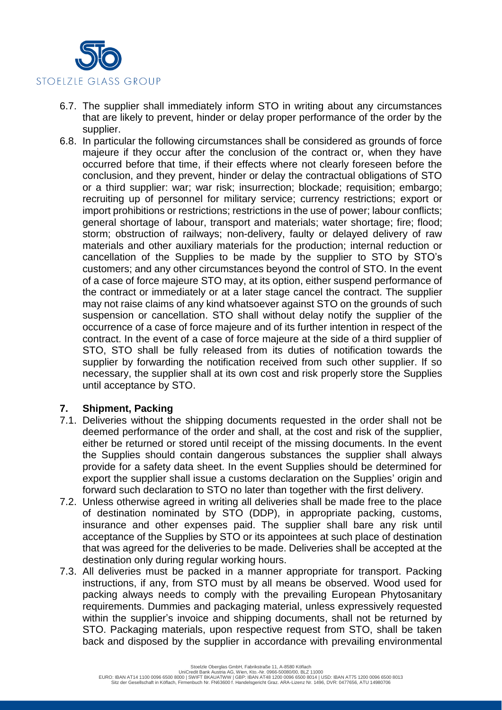

- 6.7. The supplier shall immediately inform STO in writing about any circumstances that are likely to prevent, hinder or delay proper performance of the order by the supplier.
- 6.8. In particular the following circumstances shall be considered as grounds of force majeure if they occur after the conclusion of the contract or, when they have occurred before that time, if their effects where not clearly foreseen before the conclusion, and they prevent, hinder or delay the contractual obligations of STO or a third supplier: war; war risk; insurrection; blockade; requisition; embargo; recruiting up of personnel for military service; currency restrictions; export or import prohibitions or restrictions; restrictions in the use of power; labour conflicts; general shortage of labour, transport and materials; water shortage; fire; flood; storm; obstruction of railways; non-delivery, faulty or delayed delivery of raw materials and other auxiliary materials for the production; internal reduction or cancellation of the Supplies to be made by the supplier to STO by STO's customers; and any other circumstances beyond the control of STO. In the event of a case of force majeure STO may, at its option, either suspend performance of the contract or immediately or at a later stage cancel the contract. The supplier may not raise claims of any kind whatsoever against STO on the grounds of such suspension or cancellation. STO shall without delay notify the supplier of the occurrence of a case of force majeure and of its further intention in respect of the contract. In the event of a case of force majeure at the side of a third supplier of STO, STO shall be fully released from its duties of notification towards the supplier by forwarding the notification received from such other supplier. If so necessary, the supplier shall at its own cost and risk properly store the Supplies until acceptance by STO.

# **7. Shipment, Packing**

- 7.1. Deliveries without the shipping documents requested in the order shall not be deemed performance of the order and shall, at the cost and risk of the supplier, either be returned or stored until receipt of the missing documents. In the event the Supplies should contain dangerous substances the supplier shall always provide for a safety data sheet. In the event Supplies should be determined for export the supplier shall issue a customs declaration on the Supplies' origin and forward such declaration to STO no later than together with the first delivery.
- 7.2. Unless otherwise agreed in writing all deliveries shall be made free to the place of destination nominated by STO (DDP), in appropriate packing, customs, insurance and other expenses paid. The supplier shall bare any risk until acceptance of the Supplies by STO or its appointees at such place of destination that was agreed for the deliveries to be made. Deliveries shall be accepted at the destination only during regular working hours.
- 7.3. All deliveries must be packed in a manner appropriate for transport. Packing instructions, if any, from STO must by all means be observed. Wood used for packing always needs to comply with the prevailing European Phytosanitary requirements. Dummies and packaging material, unless expressively requested within the supplier's invoice and shipping documents, shall not be returned by STO. Packaging materials, upon respective request from STO, shall be taken back and disposed by the supplier in accordance with prevailing environmental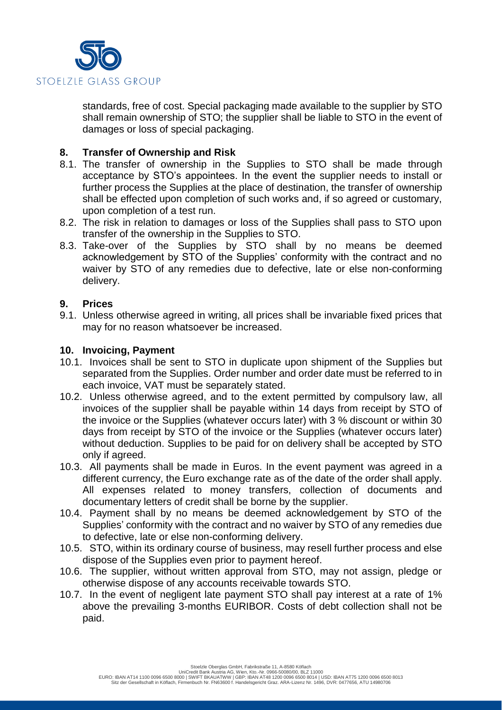

standards, free of cost. Special packaging made available to the supplier by STO shall remain ownership of STO; the supplier shall be liable to STO in the event of damages or loss of special packaging.

#### **8. Transfer of Ownership and Risk**

- 8.1. The transfer of ownership in the Supplies to STO shall be made through acceptance by STO's appointees. In the event the supplier needs to install or further process the Supplies at the place of destination, the transfer of ownership shall be effected upon completion of such works and, if so agreed or customary, upon completion of a test run.
- 8.2. The risk in relation to damages or loss of the Supplies shall pass to STO upon transfer of the ownership in the Supplies to STO.
- 8.3. Take-over of the Supplies by STO shall by no means be deemed acknowledgement by STO of the Supplies' conformity with the contract and no waiver by STO of any remedies due to defective, late or else non-conforming delivery.

## **9. Prices**

9.1. Unless otherwise agreed in writing, all prices shall be invariable fixed prices that may for no reason whatsoever be increased.

#### **10. Invoicing, Payment**

- 10.1. Invoices shall be sent to STO in duplicate upon shipment of the Supplies but separated from the Supplies. Order number and order date must be referred to in each invoice, VAT must be separately stated.
- 10.2. Unless otherwise agreed, and to the extent permitted by compulsory law, all invoices of the supplier shall be payable within 14 days from receipt by STO of the invoice or the Supplies (whatever occurs later) with 3 % discount or within 30 days from receipt by STO of the invoice or the Supplies (whatever occurs later) without deduction. Supplies to be paid for on delivery shall be accepted by STO only if agreed.
- 10.3. All payments shall be made in Euros. In the event payment was agreed in a different currency, the Euro exchange rate as of the date of the order shall apply. All expenses related to money transfers, collection of documents and documentary letters of credit shall be borne by the supplier.
- 10.4. Payment shall by no means be deemed acknowledgement by STO of the Supplies' conformity with the contract and no waiver by STO of any remedies due to defective, late or else non-conforming delivery.
- 10.5. STO, within its ordinary course of business, may resell further process and else dispose of the Supplies even prior to payment hereof.
- 10.6. The supplier, without written approval from STO, may not assign, pledge or otherwise dispose of any accounts receivable towards STO.
- 10.7. In the event of negligent late payment STO shall pay interest at a rate of 1% above the prevailing 3-months EURIBOR. Costs of debt collection shall not be paid.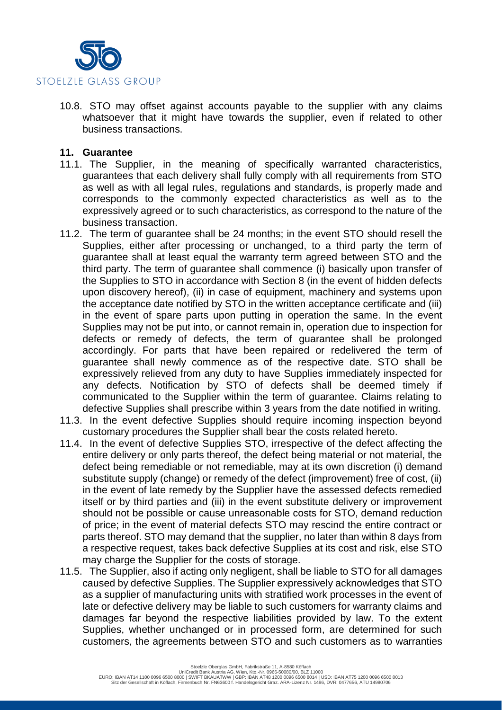

10.8. STO may offset against accounts payable to the supplier with any claims whatsoever that it might have towards the supplier, even if related to other business transactions.

#### **11. Guarantee**

- 11.1. The Supplier, in the meaning of specifically warranted characteristics, guarantees that each delivery shall fully comply with all requirements from STO as well as with all legal rules, regulations and standards, is properly made and corresponds to the commonly expected characteristics as well as to the expressively agreed or to such characteristics, as correspond to the nature of the business transaction.
- 11.2. The term of guarantee shall be 24 months; in the event STO should resell the Supplies, either after processing or unchanged, to a third party the term of guarantee shall at least equal the warranty term agreed between STO and the third party. The term of guarantee shall commence (i) basically upon transfer of the Supplies to STO in accordance with Section 8 (in the event of hidden defects upon discovery hereof), (ii) in case of equipment, machinery and systems upon the acceptance date notified by STO in the written acceptance certificate and (iii) in the event of spare parts upon putting in operation the same. In the event Supplies may not be put into, or cannot remain in, operation due to inspection for defects or remedy of defects, the term of guarantee shall be prolonged accordingly. For parts that have been repaired or redelivered the term of guarantee shall newly commence as of the respective date. STO shall be expressively relieved from any duty to have Supplies immediately inspected for any defects. Notification by STO of defects shall be deemed timely if communicated to the Supplier within the term of guarantee. Claims relating to defective Supplies shall prescribe within 3 years from the date notified in writing.
- 11.3. In the event defective Supplies should require incoming inspection beyond customary procedures the Supplier shall bear the costs related hereto.
- 11.4. In the event of defective Supplies STO, irrespective of the defect affecting the entire delivery or only parts thereof, the defect being material or not material, the defect being remediable or not remediable, may at its own discretion (i) demand substitute supply (change) or remedy of the defect (improvement) free of cost, (ii) in the event of late remedy by the Supplier have the assessed defects remedied itself or by third parties and (iii) in the event substitute delivery or improvement should not be possible or cause unreasonable costs for STO, demand reduction of price; in the event of material defects STO may rescind the entire contract or parts thereof. STO may demand that the supplier, no later than within 8 days from a respective request, takes back defective Supplies at its cost and risk, else STO may charge the Supplier for the costs of storage.
- 11.5. The Supplier, also if acting only negligent, shall be liable to STO for all damages caused by defective Supplies. The Supplier expressively acknowledges that STO as a supplier of manufacturing units with stratified work processes in the event of late or defective delivery may be liable to such customers for warranty claims and damages far beyond the respective liabilities provided by law. To the extent Supplies, whether unchanged or in processed form, are determined for such customers, the agreements between STO and such customers as to warranties

Stoelzle Oberglas GmbH, Fabrikstraße 11, A-8580 Köflach<br>UniCredit Bank Austria AG, Wien, Kto.-Nr. 0966-50080/00, BLZ 11000<br>EURO: IBAN AT14 1100 0096 6500 8000 | SWIFT BKAUATWW | GBP: IBAN AT48 1200 0096 6500 8014 | USD: IB Sitz der Gesellschaft in Köflach, Firmenbuch Nr. FN63600 f. Handelsgericht Graz. ARA-Lizenz Nr. 1496, DVR: 0477656, ATU 14980706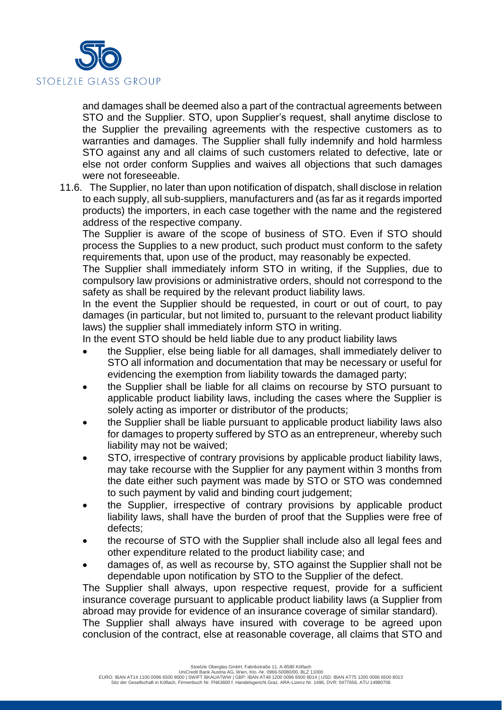

and damages shall be deemed also a part of the contractual agreements between STO and the Supplier. STO, upon Supplier's request, shall anytime disclose to the Supplier the prevailing agreements with the respective customers as to warranties and damages. The Supplier shall fully indemnify and hold harmless STO against any and all claims of such customers related to defective, late or else not order conform Supplies and waives all objections that such damages were not foreseeable.

11.6. The Supplier, no later than upon notification of dispatch, shall disclose in relation to each supply, all sub-suppliers, manufacturers and (as far as it regards imported products) the importers, in each case together with the name and the registered address of the respective company.

The Supplier is aware of the scope of business of STO. Even if STO should process the Supplies to a new product, such product must conform to the safety requirements that, upon use of the product, may reasonably be expected.

The Supplier shall immediately inform STO in writing, if the Supplies, due to compulsory law provisions or administrative orders, should not correspond to the safety as shall be required by the relevant product liability laws.

In the event the Supplier should be requested, in court or out of court, to pay damages (in particular, but not limited to, pursuant to the relevant product liability laws) the supplier shall immediately inform STO in writing.

In the event STO should be held liable due to any product liability laws

- the Supplier, else being liable for all damages, shall immediately deliver to STO all information and documentation that may be necessary or useful for evidencing the exemption from liability towards the damaged party;
- the Supplier shall be liable for all claims on recourse by STO pursuant to applicable product liability laws, including the cases where the Supplier is solely acting as importer or distributor of the products;
- the Supplier shall be liable pursuant to applicable product liability laws also for damages to property suffered by STO as an entrepreneur, whereby such liability may not be waived;
- STO, irrespective of contrary provisions by applicable product liability laws, may take recourse with the Supplier for any payment within 3 months from the date either such payment was made by STO or STO was condemned to such payment by valid and binding court judgement;
- the Supplier, irrespective of contrary provisions by applicable product liability laws, shall have the burden of proof that the Supplies were free of defects;
- the recourse of STO with the Supplier shall include also all legal fees and other expenditure related to the product liability case; and
- damages of, as well as recourse by, STO against the Supplier shall not be dependable upon notification by STO to the Supplier of the defect.

The Supplier shall always, upon respective request, provide for a sufficient insurance coverage pursuant to applicable product liability laws (a Supplier from abroad may provide for evidence of an insurance coverage of similar standard).

The Supplier shall always have insured with coverage to be agreed upon conclusion of the contract, else at reasonable coverage, all claims that STO and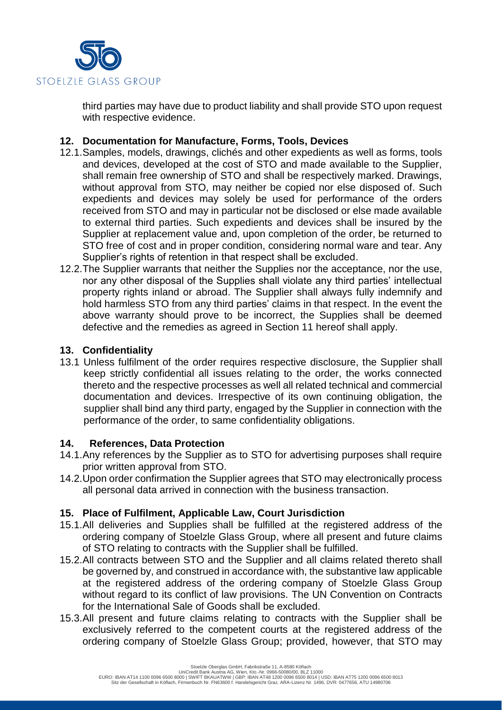

third parties may have due to product liability and shall provide STO upon request with respective evidence.

## **12. Documentation for Manufacture, Forms, Tools, Devices**

- 12.1.Samples, models, drawings, clichés and other expedients as well as forms, tools and devices, developed at the cost of STO and made available to the Supplier, shall remain free ownership of STO and shall be respectively marked. Drawings, without approval from STO, may neither be copied nor else disposed of. Such expedients and devices may solely be used for performance of the orders received from STO and may in particular not be disclosed or else made available to external third parties. Such expedients and devices shall be insured by the Supplier at replacement value and, upon completion of the order, be returned to STO free of cost and in proper condition, considering normal ware and tear. Any Supplier's rights of retention in that respect shall be excluded.
- 12.2.The Supplier warrants that neither the Supplies nor the acceptance, nor the use, nor any other disposal of the Supplies shall violate any third parties' intellectual property rights inland or abroad. The Supplier shall always fully indemnify and hold harmless STO from any third parties' claims in that respect. In the event the above warranty should prove to be incorrect, the Supplies shall be deemed defective and the remedies as agreed in Section 11 hereof shall apply.

#### **13. Confidentiality**

13.1 Unless fulfilment of the order requires respective disclosure, the Supplier shall keep strictly confidential all issues relating to the order, the works connected thereto and the respective processes as well all related technical and commercial documentation and devices. Irrespective of its own continuing obligation, the supplier shall bind any third party, engaged by the Supplier in connection with the performance of the order, to same confidentiality obligations.

#### **14. References, Data Protection**

- 14.1.Any references by the Supplier as to STO for advertising purposes shall require prior written approval from STO.
- 14.2.Upon order confirmation the Supplier agrees that STO may electronically process all personal data arrived in connection with the business transaction.

# **15. Place of Fulfilment, Applicable Law, Court Jurisdiction**

- 15.1.All deliveries and Supplies shall be fulfilled at the registered address of the ordering company of Stoelzle Glass Group, where all present and future claims of STO relating to contracts with the Supplier shall be fulfilled.
- 15.2.All contracts between STO and the Supplier and all claims related thereto shall be governed by, and construed in accordance with, the substantive law applicable at the registered address of the ordering company of Stoelzle Glass Group without regard to its conflict of law provisions. The UN Convention on Contracts for the International Sale of Goods shall be excluded.
- 15.3.All present and future claims relating to contracts with the Supplier shall be exclusively referred to the competent courts at the registered address of the ordering company of Stoelzle Glass Group; provided, however, that STO may